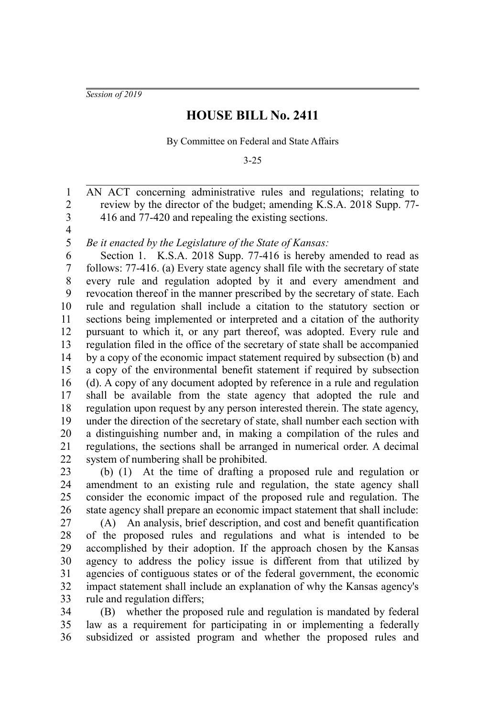*Session of 2019*

## **HOUSE BILL No. 2411**

By Committee on Federal and State Affairs

3-25

AN ACT concerning administrative rules and regulations; relating to review by the director of the budget; amending K.S.A. 2018 Supp. 77- 416 and 77-420 and repealing the existing sections. 1 2 3

4 5

*Be it enacted by the Legislature of the State of Kansas:*

Section 1. K.S.A. 2018 Supp. 77-416 is hereby amended to read as follows: 77-416. (a) Every state agency shall file with the secretary of state every rule and regulation adopted by it and every amendment and revocation thereof in the manner prescribed by the secretary of state. Each rule and regulation shall include a citation to the statutory section or sections being implemented or interpreted and a citation of the authority pursuant to which it, or any part thereof, was adopted. Every rule and regulation filed in the office of the secretary of state shall be accompanied by a copy of the economic impact statement required by subsection (b) and a copy of the environmental benefit statement if required by subsection (d). A copy of any document adopted by reference in a rule and regulation shall be available from the state agency that adopted the rule and regulation upon request by any person interested therein. The state agency, under the direction of the secretary of state, shall number each section with a distinguishing number and, in making a compilation of the rules and regulations, the sections shall be arranged in numerical order. A decimal system of numbering shall be prohibited. 6 7 8 9 10 11 12 13 14 15 16 17 18 19 20 21 22

(b) (1) At the time of drafting a proposed rule and regulation or amendment to an existing rule and regulation, the state agency shall consider the economic impact of the proposed rule and regulation. The state agency shall prepare an economic impact statement that shall include: 23 24 25 26

(A) An analysis, brief description, and cost and benefit quantification of the proposed rules and regulations and what is intended to be accomplished by their adoption. If the approach chosen by the Kansas agency to address the policy issue is different from that utilized by agencies of contiguous states or of the federal government, the economic impact statement shall include an explanation of why the Kansas agency's rule and regulation differs; 27 28 29 30 31 32 33

(B) whether the proposed rule and regulation is mandated by federal law as a requirement for participating in or implementing a federally subsidized or assisted program and whether the proposed rules and 34 35 36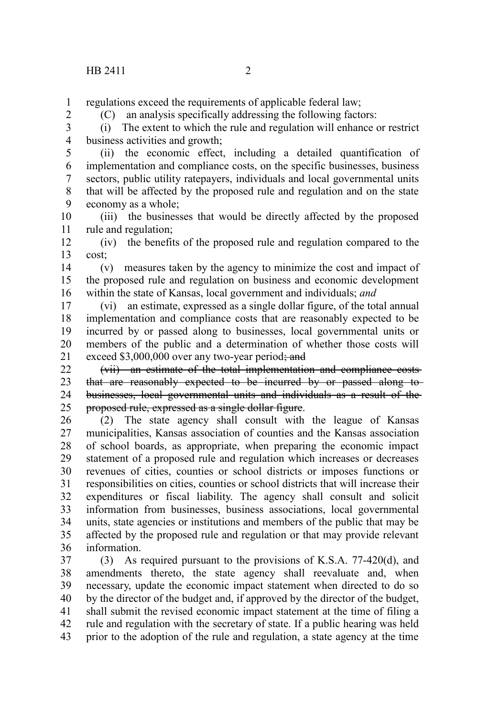regulations exceed the requirements of applicable federal law; 1

2

(C) an analysis specifically addressing the following factors:

(i) The extent to which the rule and regulation will enhance or restrict business activities and growth; 3 4

(ii) the economic effect, including a detailed quantification of implementation and compliance costs, on the specific businesses, business sectors, public utility ratepayers, individuals and local governmental units that will be affected by the proposed rule and regulation and on the state economy as a whole; 5 6 7 8 9

(iii) the businesses that would be directly affected by the proposed rule and regulation; 10 11

(iv) the benefits of the proposed rule and regulation compared to the cost; 12 13

(v) measures taken by the agency to minimize the cost and impact of the proposed rule and regulation on business and economic development within the state of Kansas, local government and individuals; *and* 14 15 16

(vi) an estimate, expressed as a single dollar figure, of the total annual implementation and compliance costs that are reasonably expected to be incurred by or passed along to businesses, local governmental units or members of the public and a determination of whether those costs will exceed  $$3,000,000$  over any two-year period; and 17 18 19 20 21

(vii) an estimate of the total implementation and compliance costs that are reasonably expected to be incurred by or passed along to businesses, local governmental units and individuals as a result of the proposed rule, expressed as a single dollar figure. 22 23 24 25

(2) The state agency shall consult with the league of Kansas municipalities, Kansas association of counties and the Kansas association of school boards, as appropriate, when preparing the economic impact statement of a proposed rule and regulation which increases or decreases revenues of cities, counties or school districts or imposes functions or responsibilities on cities, counties or school districts that will increase their expenditures or fiscal liability. The agency shall consult and solicit information from businesses, business associations, local governmental units, state agencies or institutions and members of the public that may be affected by the proposed rule and regulation or that may provide relevant information. 26 27 28 29 30 31 32 33 34 35 36

(3) As required pursuant to the provisions of K.S.A. 77-420(d), and amendments thereto, the state agency shall reevaluate and, when necessary, update the economic impact statement when directed to do so by the director of the budget and, if approved by the director of the budget, shall submit the revised economic impact statement at the time of filing a rule and regulation with the secretary of state. If a public hearing was held prior to the adoption of the rule and regulation, a state agency at the time 37 38 39 40 41 42 43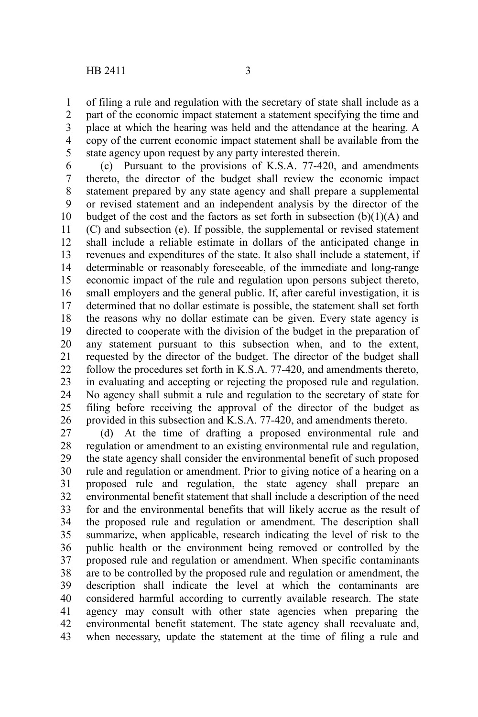of filing a rule and regulation with the secretary of state shall include as a part of the economic impact statement a statement specifying the time and place at which the hearing was held and the attendance at the hearing. A copy of the current economic impact statement shall be available from the state agency upon request by any party interested therein. 1 2 3 4 5

(c) Pursuant to the provisions of K.S.A. 77-420, and amendments thereto, the director of the budget shall review the economic impact statement prepared by any state agency and shall prepare a supplemental or revised statement and an independent analysis by the director of the budget of the cost and the factors as set forth in subsection  $(b)(1)(A)$  and (C) and subsection (e). If possible, the supplemental or revised statement shall include a reliable estimate in dollars of the anticipated change in revenues and expenditures of the state. It also shall include a statement, if determinable or reasonably foreseeable, of the immediate and long-range economic impact of the rule and regulation upon persons subject thereto, small employers and the general public. If, after careful investigation, it is determined that no dollar estimate is possible, the statement shall set forth the reasons why no dollar estimate can be given. Every state agency is directed to cooperate with the division of the budget in the preparation of any statement pursuant to this subsection when, and to the extent, requested by the director of the budget. The director of the budget shall follow the procedures set forth in K.S.A. 77-420, and amendments thereto, in evaluating and accepting or rejecting the proposed rule and regulation. No agency shall submit a rule and regulation to the secretary of state for filing before receiving the approval of the director of the budget as provided in this subsection and K.S.A. 77-420, and amendments thereto. 6 7 8 9 10 11 12 13 14 15 16 17 18 19 20 21 22 23 24 25 26

(d) At the time of drafting a proposed environmental rule and regulation or amendment to an existing environmental rule and regulation, the state agency shall consider the environmental benefit of such proposed rule and regulation or amendment. Prior to giving notice of a hearing on a proposed rule and regulation, the state agency shall prepare an environmental benefit statement that shall include a description of the need for and the environmental benefits that will likely accrue as the result of the proposed rule and regulation or amendment. The description shall summarize, when applicable, research indicating the level of risk to the public health or the environment being removed or controlled by the proposed rule and regulation or amendment. When specific contaminants are to be controlled by the proposed rule and regulation or amendment, the description shall indicate the level at which the contaminants are considered harmful according to currently available research. The state agency may consult with other state agencies when preparing the environmental benefit statement. The state agency shall reevaluate and, when necessary, update the statement at the time of filing a rule and 27 28 29 30 31 32 33 34 35 36 37 38 39 40 41 42 43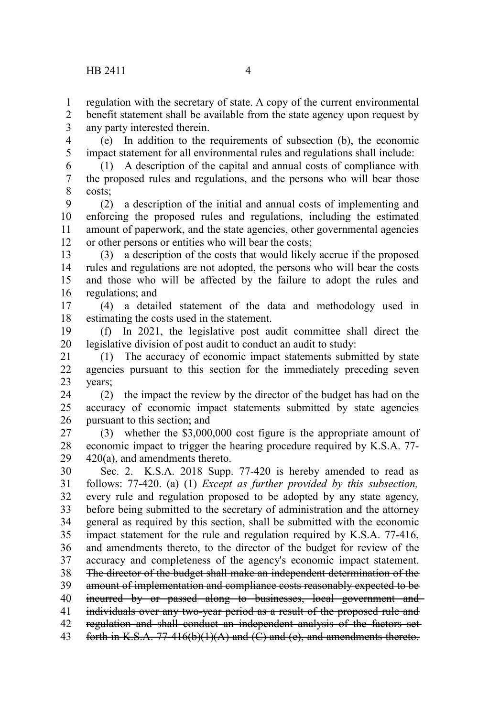regulation with the secretary of state. A copy of the current environmental 1

benefit statement shall be available from the state agency upon request by any party interested therein. 2 3

(e) In addition to the requirements of subsection (b), the economic impact statement for all environmental rules and regulations shall include: 4 5

(1) A description of the capital and annual costs of compliance with the proposed rules and regulations, and the persons who will bear those costs; 6 7 8

(2) a description of the initial and annual costs of implementing and enforcing the proposed rules and regulations, including the estimated amount of paperwork, and the state agencies, other governmental agencies or other persons or entities who will bear the costs; 9 10 11 12

(3) a description of the costs that would likely accrue if the proposed rules and regulations are not adopted, the persons who will bear the costs and those who will be affected by the failure to adopt the rules and regulations; and 13 14 15 16

(4) a detailed statement of the data and methodology used in estimating the costs used in the statement. 17 18

(f) In 2021, the legislative post audit committee shall direct the legislative division of post audit to conduct an audit to study: 19 20

(1) The accuracy of economic impact statements submitted by state agencies pursuant to this section for the immediately preceding seven years; 21 22 23

(2) the impact the review by the director of the budget has had on the accuracy of economic impact statements submitted by state agencies pursuant to this section; and 24 25 26

(3) whether the \$3,000,000 cost figure is the appropriate amount of economic impact to trigger the hearing procedure required by K.S.A. 77- 420(a), and amendments thereto. 27 28 29

Sec. 2. K.S.A. 2018 Supp. 77-420 is hereby amended to read as follows: 77-420. (a) (1) *Except as further provided by this subsection,* every rule and regulation proposed to be adopted by any state agency, before being submitted to the secretary of administration and the attorney general as required by this section, shall be submitted with the economic impact statement for the rule and regulation required by K.S.A. 77-416, and amendments thereto, to the director of the budget for review of the accuracy and completeness of the agency's economic impact statement. The director of the budget shall make an independent determination of the amount of implementation and compliance costs reasonably expected to be incurred by or passed along to businesses, local government and individuals over any two-year period as a result of the proposed rule and regulation and shall conduct an independent analysis of the factors set 30 31 32 33 34 35 36 37 38 39 40 41 42

forth in K.S.A. 77-416(b)(1)(A) and (C) and (e), and amendments thereto. 43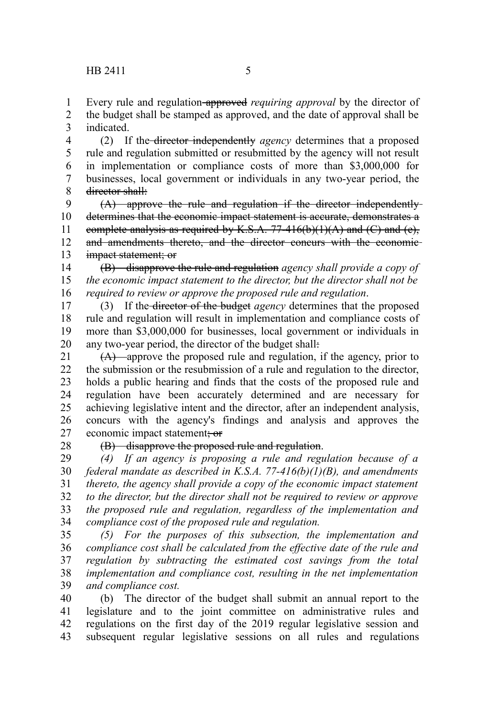Every rule and regulation approved *requiring approval* by the director of 1

the budget shall be stamped as approved, and the date of approval shall be indicated. 2 3

(2) If the director independently *agency* determines that a proposed rule and regulation submitted or resubmitted by the agency will not result in implementation or compliance costs of more than \$3,000,000 for businesses, local government or individuals in any two-year period, the director shall: 4 5 6 7 8

(A) approve the rule and regulation if the director independently determines that the economic impact statement is accurate, demonstrates a complete analysis as required by K.S.A.  $77-416(b)(1)(A)$  and  $(C)$  and  $(e)$ , and amendments thereto, and the director concurs with the economic impact statement; or 9 10 11 12 13

(B) disapprove the rule and regulation *agency shall provide a copy of the economic impact statement to the director, but the director shall not be required to review or approve the proposed rule and regulation*. 14 15 16

(3) If the director of the budget *agency* determines that the proposed rule and regulation will result in implementation and compliance costs of more than \$3,000,000 for businesses, local government or individuals in any two-year period, the director of the budget shall: 17 18 19 20

(A) approve the proposed rule and regulation, if the agency, prior to the submission or the resubmission of a rule and regulation to the director, holds a public hearing and finds that the costs of the proposed rule and regulation have been accurately determined and are necessary for achieving legislative intent and the director, after an independent analysis, concurs with the agency's findings and analysis and approves the economic impact statement; or 21 22 23 24 25 26 27

28

(B) disapprove the proposed rule and regulation.

*(4) If an agency is proposing a rule and regulation because of a federal mandate as described in K.S.A. 77-416(b)(1)(B), and amendments thereto, the agency shall provide a copy of the economic impact statement to the director, but the director shall not be required to review or approve the proposed rule and regulation, regardless of the implementation and compliance cost of the proposed rule and regulation.* 29 30 31 32 33 34

*(5) For the purposes of this subsection, the implementation and compliance cost shall be calculated from the effective date of the rule and regulation by subtracting the estimated cost savings from the total implementation and compliance cost, resulting in the net implementation and compliance cost.* 35 36 37 38 39

(b) The director of the budget shall submit an annual report to the legislature and to the joint committee on administrative rules and regulations on the first day of the 2019 regular legislative session and subsequent regular legislative sessions on all rules and regulations 40 41 42 43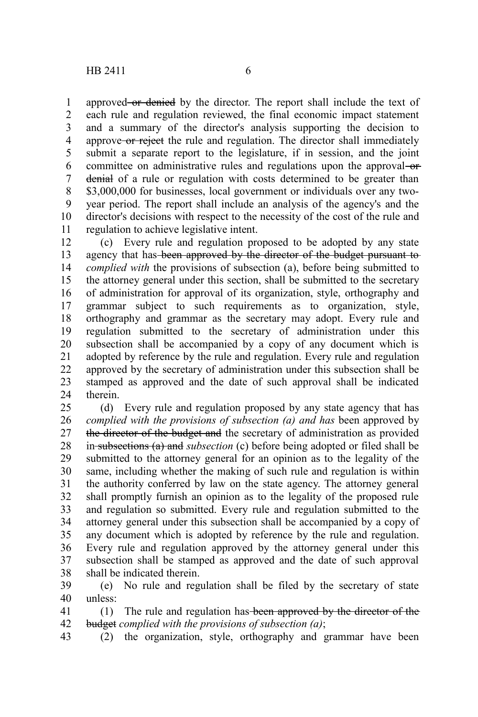approved or denied by the director. The report shall include the text of each rule and regulation reviewed, the final economic impact statement and a summary of the director's analysis supporting the decision to approve-or reject the rule and regulation. The director shall immediately submit a separate report to the legislature, if in session, and the joint committee on administrative rules and regulations upon the approval-ordenial of a rule or regulation with costs determined to be greater than \$3,000,000 for businesses, local government or individuals over any twoyear period. The report shall include an analysis of the agency's and the director's decisions with respect to the necessity of the cost of the rule and regulation to achieve legislative intent. 1 2 3 4 5 6 7 8 9 10 11

(c) Every rule and regulation proposed to be adopted by any state agency that has-been approved by the director of the budget pursuant to *complied with* the provisions of subsection (a), before being submitted to the attorney general under this section, shall be submitted to the secretary of administration for approval of its organization, style, orthography and grammar subject to such requirements as to organization, style, orthography and grammar as the secretary may adopt. Every rule and regulation submitted to the secretary of administration under this subsection shall be accompanied by a copy of any document which is adopted by reference by the rule and regulation. Every rule and regulation approved by the secretary of administration under this subsection shall be stamped as approved and the date of such approval shall be indicated therein. 12 13 14 15 16 17 18 19 20 21 22 23 24

(d) Every rule and regulation proposed by any state agency that has *complied with the provisions of subsection (a) and has* been approved by the director of the budget and the secretary of administration as provided in subsections (a) and *subsection* (c) before being adopted or filed shall be submitted to the attorney general for an opinion as to the legality of the same, including whether the making of such rule and regulation is within the authority conferred by law on the state agency. The attorney general shall promptly furnish an opinion as to the legality of the proposed rule and regulation so submitted. Every rule and regulation submitted to the attorney general under this subsection shall be accompanied by a copy of any document which is adopted by reference by the rule and regulation. Every rule and regulation approved by the attorney general under this subsection shall be stamped as approved and the date of such approval shall be indicated therein. 25 26 27 28 29 30 31 32 33 34 35 36 37 38

(e) No rule and regulation shall be filed by the secretary of state unless: 39 40

(1) The rule and regulation has been approved by the director of the budget *complied with the provisions of subsection (a)*; 41 42

(2) the organization, style, orthography and grammar have been 43